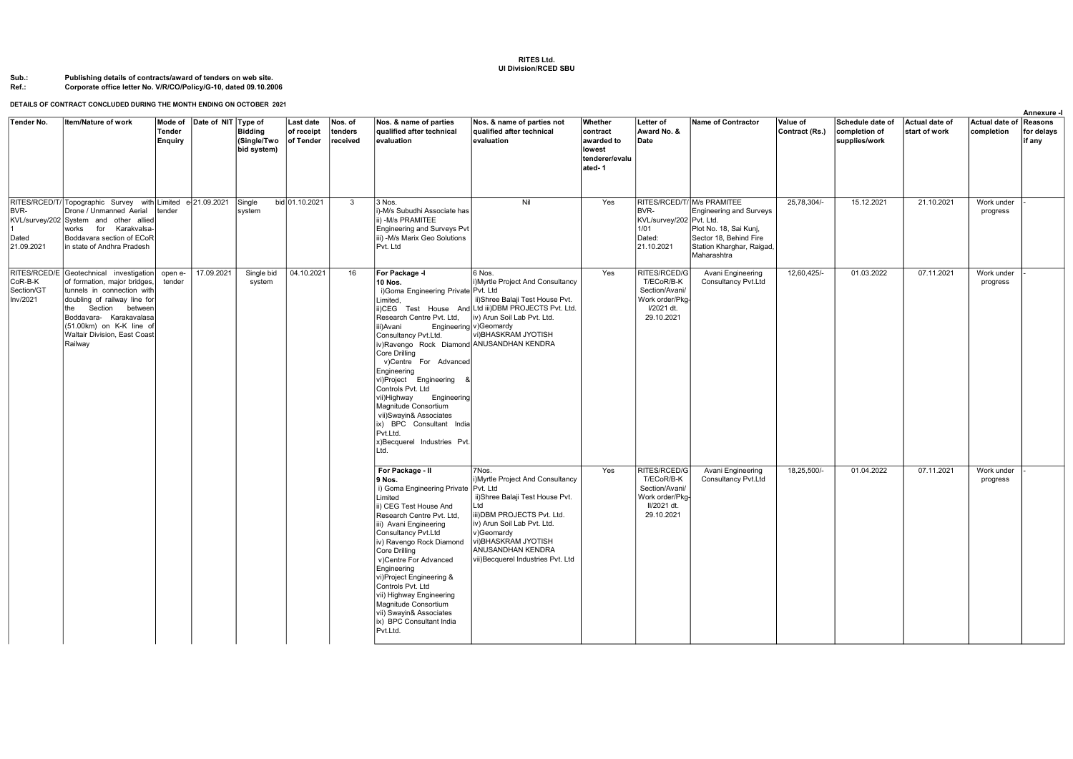### RITES Ltd. UI Division/RCED SBU

#### Sub.: Publishing details of contracts/award of tenders on web site.<br>Ref.: Corporate office letter No. V/R/CO/Policy/G-10, dated 09.10.200 Corporate office letter No. V/R/CO/Policy/G-10, dated 09.10.2006

## DETAILS OF CONTRACT CONCLUDED DURING THE MONTH ENDING ON OCTOBER 2021

| Tender No.                        | Item/Nature of work                                                                                                                                                                                                                                                  |                          | Mode of Date of NIT Type of |                                              | Last date               | Nos. of             | Nos. & name of parties                                                                                                                                                                                                                                                                                                                                                                                                                                                     | Nos. & name of parties not                                                                                                                                                                                                                       | Whether                                                      | <b>Letter of</b>                                                                            | <b>Name of Contractor</b>                                                                                                                                    | Value of       | Schedule date of               | <b>Actual date of</b> | Actual date of Reasons | Annexure -l          |
|-----------------------------------|----------------------------------------------------------------------------------------------------------------------------------------------------------------------------------------------------------------------------------------------------------------------|--------------------------|-----------------------------|----------------------------------------------|-------------------------|---------------------|----------------------------------------------------------------------------------------------------------------------------------------------------------------------------------------------------------------------------------------------------------------------------------------------------------------------------------------------------------------------------------------------------------------------------------------------------------------------------|--------------------------------------------------------------------------------------------------------------------------------------------------------------------------------------------------------------------------------------------------|--------------------------------------------------------------|---------------------------------------------------------------------------------------------|--------------------------------------------------------------------------------------------------------------------------------------------------------------|----------------|--------------------------------|-----------------------|------------------------|----------------------|
|                                   |                                                                                                                                                                                                                                                                      | <b>Tender</b><br>Enguiry |                             | <b>Bidding</b><br>(Single/Two<br>bid system) | of receipt<br>of Tender | tenders<br>received | qualified after technical<br>evaluation                                                                                                                                                                                                                                                                                                                                                                                                                                    | qualified after technical<br>evaluation                                                                                                                                                                                                          | contract<br>awarded to<br>lowest<br>tenderer/evalu<br>ated-1 | Award No. &<br>Date                                                                         |                                                                                                                                                              | Contract (Rs.) | completion of<br>supplies/work | start of work         | completion             | for delays<br>if any |
| BVR-<br>Dated<br>21.09.2021       | RITES/RCED/T/ Topographic Survey with Limited e 21.09.2021<br>Drone / Unmanned Aerial<br>KVL/survey/202 System and other allied<br>works for Karakvalsa-<br>Boddavara section of ECoR<br>in state of Andhra Pradesh                                                  | tender                   |                             | Single<br>system                             | bid 01.10.2021          | $\mathbf{3}$        | 3 Nos.<br>i)-M/s Subudhi Associate has<br>ii) - M/s PRAMITEE<br>Engineering and Surveys Pvt<br>iii) -M/s Marix Geo Solutions<br>Pvt. Ltd                                                                                                                                                                                                                                                                                                                                   | Nil                                                                                                                                                                                                                                              | Yes                                                          | BVR-<br>KVL/survey/202 Pvt. Ltd.<br>1/01<br>Dated:<br>21.10.2021                            | RITES/RCED/T/ M/s PRAMITEE<br><b>Engineering and Surveys</b><br>Plot No. 18, Sai Kunj,<br>Sector 18, Behind Fire<br>Station Kharghar, Raigad,<br>Maharashtra | 25,78,304/-    | 15.12.2021                     | 21.10.2021            | Work under<br>progress |                      |
| CoR-B-K<br>Section/GT<br>Inv/2021 | RITES/RCED/E Geotechnical investigation<br>of formation, major bridges,<br>tunnels in connection with<br>doubling of railway line for<br>Section<br>between<br>the<br>Boddavara- Karakavalasa<br>(51.00km) on K-K line of<br>Waltair Division, East Coast<br>Railway | open e-<br>tender        | 17.09.2021                  | Single bid<br>system                         | 04.10.2021              | 16                  | For Package -I<br><b>10 Nos.</b><br>i) Goma Engineering Private Pvt. Ltd<br>Limited.<br>Research Centre Pvt. Ltd.<br>iii)Avani<br>Consultancy Pvt.Ltd.<br>iv)Ravengo Rock Diamond ANUSANDHAN KENDRA<br>Core Drilling<br>v)Centre For Advanced<br>Engineering<br>vi)Project Engineering<br>Controls Pvt. Ltd<br>vii)Highway<br>Engineering<br>Magnitude Consortium<br>vii)Swayin& Associates<br>ix) BPC Consultant India<br>Pvt.Ltd.<br>x)Becquerel Industries Pvt.<br>Ltd. | 6 Nos.<br>i)Myrtle Project And Consultancy<br>ii)Shree Balaji Test House Pvt.<br>ii)CEG Test House And Ltd iii)DBM PROJECTS Pvt. Ltd.<br>iv) Arun Soil Lab Pvt. Ltd.<br>Engineering v)Geomardy<br>vi) BHASKRAM JYOTISH                           | Yes                                                          | RITES/RCED/G<br>T/ECoR/B-K<br>Section/Avani/<br>Work order/Pkg<br>I/2021 dt.<br>29.10.2021  | Avani Engineering<br>Consultancy Pvt.Ltd                                                                                                                     | 12,60,425/-    | 01.03.2022                     | 07.11.2021            | Work under<br>progress |                      |
|                                   |                                                                                                                                                                                                                                                                      |                          |                             |                                              |                         |                     | For Package - II<br>9 Nos.<br>i) Goma Engineering Private   Pvt. Ltd<br>Limited<br>ii) CEG Test House And<br>Research Centre Pvt. Ltd.<br>iii) Avani Engineering<br>Consultancy Pvt.Ltd<br>iv) Ravengo Rock Diamond<br><b>Core Drilling</b><br>v)Centre For Advanced<br>Engineering<br>vi)Project Engineering &<br>Controls Pvt. Ltd<br>vii) Highway Engineering<br>Magnitude Consortium<br>vii) Swayin& Associates<br>ix) BPC Consultant India<br>Pvt.Ltd.                | 7Nos.<br>i)Myrtle Project And Consultancy<br>ii)Shree Balaji Test House Pvt.<br>Ltd<br>iii)DBM PROJECTS Pvt. Ltd.<br>iv) Arun Soil Lab Pvt. Ltd.<br>v)Geomardy<br>vi) BHASKRAM JYOTISH<br>ANUSANDHAN KENDRA<br>vii)Becquerel Industries Pvt. Ltd | Yes                                                          | RITES/RCED/G<br>T/ECoR/B-K<br>Section/Avani/<br>Work order/Pkg<br>II/2021 dt.<br>29.10.2021 | Avani Engineering<br>Consultancy Pvt.Ltd                                                                                                                     | 18,25,500/-    | 01.04.2022                     | 07.11.2021            | Work under<br>progress |                      |